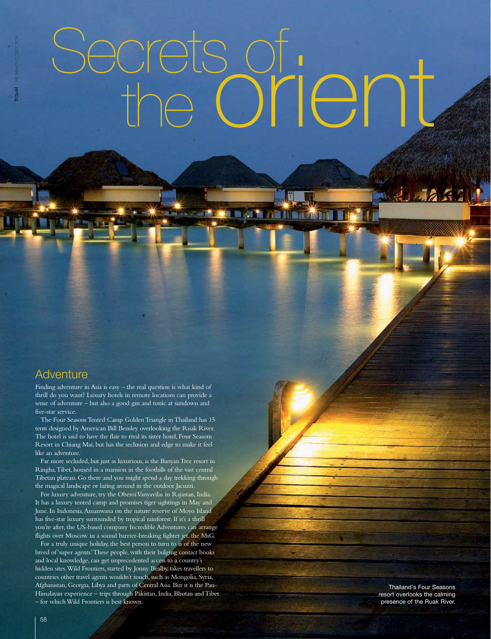# Secrets of the orient

图面

**BAZARI** 

# **Adventure**

Finding adventure in Asia is easy – the real question is what kind of thrill do you want? Luxury hotels in remote locations can provide a sense of adventure – but also a good gin and tonic at sundown and five-star service.

The Four Seasons Tented Camp Golden Triangle in Thailand has 15 tents designed by American Bill Bensley overlooking the Ruak River. The hotel is said to have the flair to rival its sister hotel, Four Seasons Resort in Chiang Mai, but has the seclusion and edge to make it feel like an adventure.

Far more secluded, but just as luxurious, is the Banyan Tree resort in Ringha, Tibet, housed in a mansion in the foothills of the vast central Tibetan plateau. Go there and you might spend a day trekking through the magical landscape or lazing around in the outdoor Jacuzzi.

For luxury adventure, try the Oberoi Vanyavilas in Rajastan, India. It has a luxury tented camp and promises tiger sightings in May and June. In Indonesia, Amanwana on the nature reserve of Moyo Island has five-star luxury surrounded by tropical rainforest. If it's a thrill you're after, the US-based company Incredible Adventures can arrange flights over Moscow in a sound barrier-breaking fighter jet, the MiG.

For a truly unique holiday, the best person to turn to is of the new breed of 'super agents.' These people, with their bulging contact books and local knowledge, can get unprecedented access to a country's hidden sites. Wild Frontiers, started by Jonny Bealby, takes travellers to countries other travel agents wouldn't touch, such as Mongolia, Syria, Afghanistan, Georgia, Libya and parts of Central Asia. But it is the Pan-Himalayan experience – trips through Pakistan, India, Bhutan and Tibet – for which Wild Frontiers is best known.

Thailand's Four Seasons resort overlooks the calming presence of the Ruak River.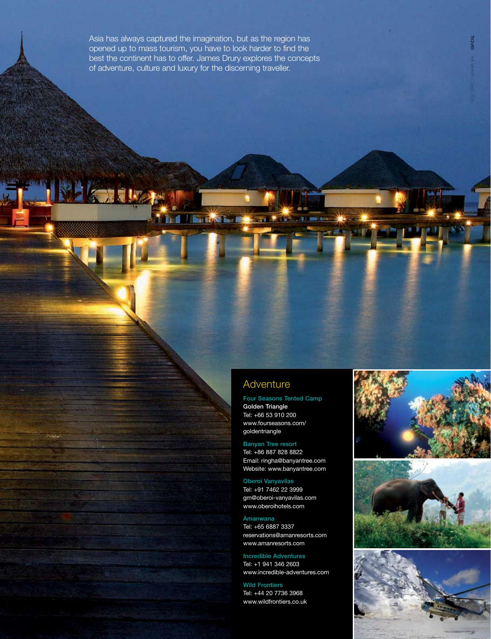Asia has always captured the imagination, but as the region has opened up to mass tourism, you have to look harder to find the best the continent has to offer. James Drury explores the concepts of adventure, culture and luxury for the discerning traveller.

**EXIMALE** 

**NEUTR** 

## **Adventure**

Four Seasons Tented Camp Golden Triangle Tel: +66 53 910 200 www.fourseasons.com/ goldentriangle

Banyan Tree resort Tel: +86 887 828 8822 Email: ringha@banyantree.com Website: www.banyantree.com

Oberoi Vanyavilas Tel: +91 7462 22 3999 gm@oberoi-vanyavilas.com www.oberoihotels.com

Amanwana Tel: +65 6887 3337 reservations@amanresorts.com www.amanresorts.com

Incredible Adventures Tel: +1 941 346 2603 www.incredible-adventures.com

Wild Frontiers Tel: +44 20 7736 3968 www.wildfrontiers.co.uk



**CAN** 



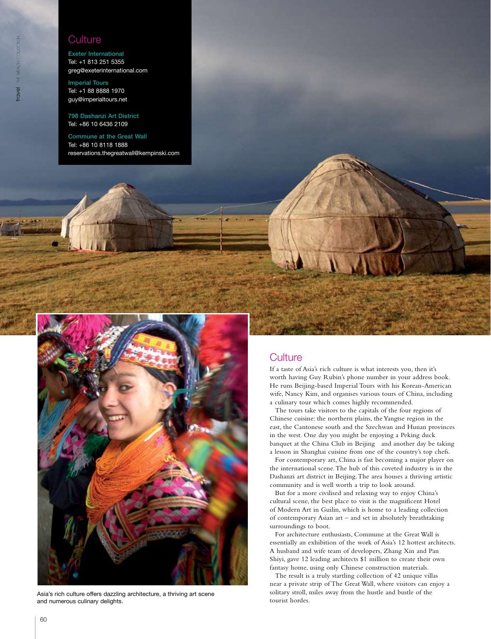### **Culture**

Exeter International Tel: +1 813 251 5355 greg@exeterinternational.com

Imperial Tours Tel: +1 88 8888 1970 guy@imperialtours.net

798 Dashanzi Art District Tel: +86 10 6436 2109

Commune at the Great Wall Tel: +86 10 8118 1888 reservations.thegreatwall@kempinski.com



Asia's rich culture offers dazzling architecture, a thriving art scene and numerous culinary delights.



### **Culture**

If a taste of Asia's rich culture is what interests you, then it's worth having Guy Rubin's phone number in your address book. He runs Beijing-based Imperial Tours with his Korean-American wife, Nancy Kim, and organises various tours of China, including a culinary tour which comes highly recommended.

The tours take visitors to the capitals of the four regions of Chinese cuisine: the northern plains, the Yangtse region in the east, the Cantonese south and the Szechwan and Hunan provinces in the west. One day you might be enjoying a Peking duck banquet at the China Club in Beijing and another day be taking a lesson in Shanghai cuisine from one of the country's top chefs.

For contemporary art, China is fast becoming a major player on the international scene. The hub of this coveted industry is in the Dashanzi art district in Beijing. The area houses a thriving artistic community and is well worth a trip to look around.

But for a more civilised and relaxing way to enjoy China's cultural scene, the best place to visit is the magnificent Hotel of Modern Art in Guilin, which is home to a leading collection of contemporary Asian art – and set in absolutely breathtaking surroundings to boot.

For architecture enthusiasts, Commune at the Great Wall is essentially an exhibition of the work of Asia's 12 hottest architects. A husband and wife team of developers, Zhang Xin and Pan Shiyi, gave 12 leading architects \$1 million to create their own fantasy home, using only Chinese construction materials.

The result is a truly startling collection of 42 unique villas near a private strip of The Great Wall, where visitors can enjoy a solitary stroll, miles away from the hustle and bustle of the tourist hordes.